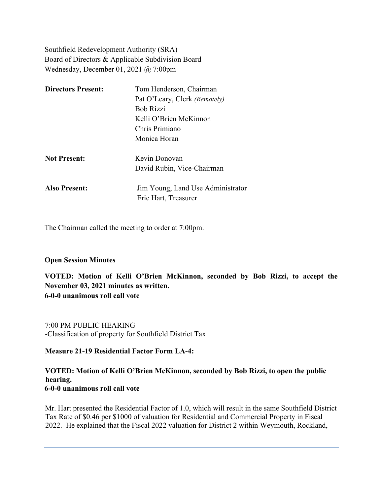Southfield Redevelopment Authority (SRA) Board of Directors & Applicable Subdivision Board Wednesday, December 01, 2021 @ 7:00pm

| <b>Directors Present:</b> | Tom Henderson, Chairman           |
|---------------------------|-----------------------------------|
|                           | Pat O'Leary, Clerk (Remotely)     |
|                           | <b>Bob Rizzi</b>                  |
|                           | Kelli O'Brien McKinnon            |
|                           | Chris Primiano                    |
|                           | Monica Horan                      |
| <b>Not Present:</b>       | Kevin Donovan                     |
|                           | David Rubin, Vice-Chairman        |
| <b>Also Present:</b>      | Jim Young, Land Use Administrator |
|                           | Eric Hart, Treasurer              |

The Chairman called the meeting to order at 7:00pm.

## **Open Session Minutes**

**VOTED: Motion of Kelli O'Brien McKinnon, seconded by Bob Rizzi, to accept the November 03, 2021 minutes as written. 6-0-0 unanimous roll call vote**

7:00 PM PUBLIC HEARING -Classification of property for Southfield District Tax

**Measure 21-19 Residential Factor Form LA-4:**

### **VOTED: Motion of Kelli O'Brien McKinnon, seconded by Bob Rizzi, to open the public hearing. 6-0-0 unanimous roll call vote**

Mr. Hart presented the Residential Factor of 1.0, which will result in the same Southfield District Tax Rate of \$0.46 per \$1000 of valuation for Residential and Commercial Property in Fiscal 2022. He explained that the Fiscal 2022 valuation for District 2 within Weymouth, Rockland,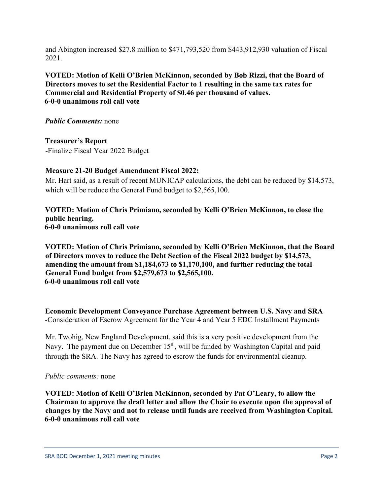and Abington increased \$27.8 million to \$471,793,520 from \$443,912,930 valuation of Fiscal 2021.

**VOTED: Motion of Kelli O'Brien McKinnon, seconded by Bob Rizzi, that the Board of Directors moves to set the Residential Factor to 1 resulting in the same tax rates for Commercial and Residential Property of \$0.46 per thousand of values. 6-0-0 unanimous roll call vote**

*Public Comments:* none

**Treasurer's Report**  -Finalize Fiscal Year 2022 Budget

## **Measure 21-20 Budget Amendment Fiscal 2022:**

Mr. Hart said, as a result of recent MUNICAP calculations, the debt can be reduced by \$14,573, which will be reduce the General Fund budget to \$2,565,100.

**VOTED: Motion of Chris Primiano, seconded by Kelli O'Brien McKinnon, to close the public hearing. 6-0-0 unanimous roll call vote**

**VOTED: Motion of Chris Primiano, seconded by Kelli O'Brien McKinnon, that the Board of Directors moves to reduce the Debt Section of the Fiscal 2022 budget by \$14,573, amending the amount from \$1,184,673 to \$1,170,100, and further reducing the total General Fund budget from \$2,579,673 to \$2,565,100. 6-0-0 unanimous roll call vote**

**Economic Development Conveyance Purchase Agreement between U.S. Navy and SRA** -Consideration of Escrow Agreement for the Year 4 and Year 5 EDC Installment Payments

Mr. Twohig, New England Development, said this is a very positive development from the Navy. The payment due on December  $15<sup>th</sup>$ , will be funded by Washington Capital and paid through the SRA. The Navy has agreed to escrow the funds for environmental cleanup.

#### *Public comments:* none

**VOTED: Motion of Kelli O'Brien McKinnon, seconded by Pat O'Leary, to allow the Chairman to approve the draft letter and allow the Chair to execute upon the approval of changes by the Navy and not to release until funds are received from Washington Capital. 6-0-0 unanimous roll call vote**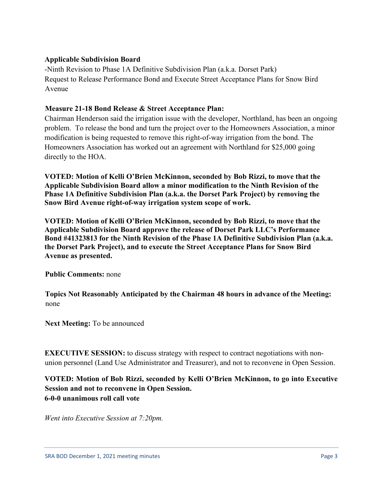# **Applicable Subdivision Board**

-Ninth Revision to Phase 1A Definitive Subdivision Plan (a.k.a. Dorset Park) Request to Release Performance Bond and Execute Street Acceptance Plans for Snow Bird Avenue

# **Measure 21-18 Bond Release & Street Acceptance Plan:**

Chairman Henderson said the irrigation issue with the developer, Northland, has been an ongoing problem. To release the bond and turn the project over to the Homeowners Association, a minor modification is being requested to remove this right-of-way irrigation from the bond. The Homeowners Association has worked out an agreement with Northland for \$25,000 going directly to the HOA.

**VOTED: Motion of Kelli O'Brien McKinnon, seconded by Bob Rizzi, to move that the Applicable Subdivision Board allow a minor modification to the Ninth Revision of the Phase 1A Definitive Subdivision Plan (a.k.a. the Dorset Park Project) by removing the Snow Bird Avenue right-of-way irrigation system scope of work.** 

**VOTED: Motion of Kelli O'Brien McKinnon, seconded by Bob Rizzi, to move that the Applicable Subdivision Board approve the release of Dorset Park LLC's Performance Bond #41323813 for the Ninth Revision of the Phase 1A Definitive Subdivision Plan (a.k.a. the Dorset Park Project), and to execute the Street Acceptance Plans for Snow Bird Avenue as presented.** 

**Public Comments:** none

**Topics Not Reasonably Anticipated by the Chairman 48 hours in advance of the Meeting:** none

**Next Meeting:** To be announced

**EXECUTIVE SESSION:** to discuss strategy with respect to contract negotiations with nonunion personnel (Land Use Administrator and Treasurer), and not to reconvene in Open Session.

**VOTED: Motion of Bob Rizzi, seconded by Kelli O'Brien McKinnon, to go into Executive Session and not to reconvene in Open Session. 6-0-0 unanimous roll call vote** 

*Went into Executive Session at 7:20pm.*